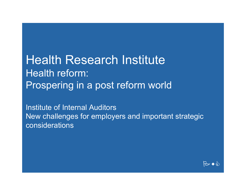Health Research InstituteHealth reform: Prospering in a post reform world

Institute of Internal Auditors New challenges for employers and important strategic considerations

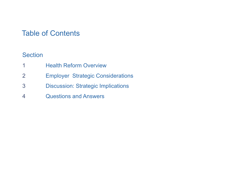## Table of Contents

### Section

- 11 **Health Reform Overview**
- 2Employer Strategic Considerations
- 3Discussion: Strategic Implications
- 4Questions and Answers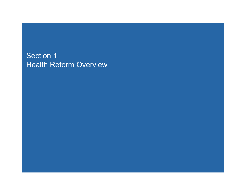## Section 1 Health Reform Overview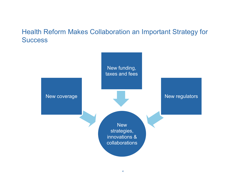### Health Reform Makes Collaboration an Important Strategy for Success

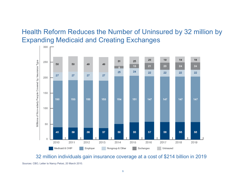## Health Reform Reduces the Number of Uninsured by 32 million by Expanding Medicaid and Creating Exchanges



32 million individuals gain insurance coverage at a cost of \$214 billion in 2019

Sources: CBO, Letter to Nancy Pelosi, 20 March 2010.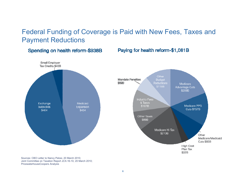## Federal Funding of Coverage is Paid with New Fees, Taxes and Payment Reductions

Spending on health reform-\$938B

Paying for health reform-\$1,081B



Sources: CBO Letter to Nancy Pelosi, 20 March 2010; Joint Committee on Taxation Report JCX-16-10, 20 March 2010; PricewaterhouseCoopers Analysis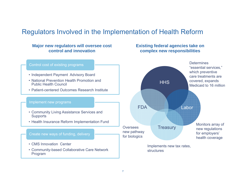### Regulators Involved in the Implementation of Health Reform

#### **Major new regulators will oversee cost control and innovation**

#### **Existing federal agencies take on complex new responsibilities**

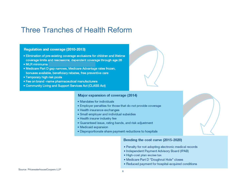## Three Tranches of Health Reform

#### Regulation and coverage (2010-2013)

- Elimination of pre-existing coverage exclusions for children and lifetime coverage limits and rescissions; dependent coverage through age 26
- MLR minimums
- · Medicare Part D gap narrows, Medicare Advantage rates frozen, bonuses available, beneficiary rebates, free preventive care
- Temporary high risk pools
- · Fee on brand -name pharmaceutical manufacturers
- Community Living and Support Services Act (CLASS Act)

#### Major expansion of coverage (2014)

- Mandates for individuals
- . Employer penalties for those that do not provide coverage
- · Health insurance exchanges
- · Small employer and individual subsidies
- . Health insurer industry fee
- · Guaranteed issue, rating bands, and risk adjustment
- Medicaid expansion
- Disproportionate share payment reductions to hospitals

#### Bending the cost curve (2015-2020)

- . Penalty for not adopting electronic medical records
- . Independent Payment Advisory Board (IPAB)
- · High-cost plan excise tax
- . Medicare Part D "Doughnut Hole" closes
- . Reduced payment for hospital-acquired conditions

#### Source: PricewaterhouseCoopers LLP<br>8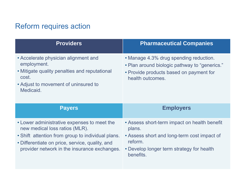# Reform requires action

| <b>Providers</b>                                                                                                                                                                                                                      | <b>Pharmaceutical Companies</b>                                                                                                                                            |
|---------------------------------------------------------------------------------------------------------------------------------------------------------------------------------------------------------------------------------------|----------------------------------------------------------------------------------------------------------------------------------------------------------------------------|
| • Accelerate physician alignment and<br>employment.<br>• Mitigate quality penalties and reputational<br>cost.<br>• Adjust to movement of uninsured to<br>Medicaid.                                                                    | • Manage 4.3% drug spending reduction.<br>• Plan around biologic pathway to "generics."<br>• Provide products based on payment for<br>health outcomes.                     |
| <b>Payers</b>                                                                                                                                                                                                                         | <b>Employers</b>                                                                                                                                                           |
| • Lower administrative expenses to meet the<br>new medical loss ratios (MLR).<br>• Shift attention from group to individual plans.<br>• Differentiate on price, service, quality, and<br>provider network in the insurance exchanges. | • Assess short-term impact on health benefit<br>plans.<br>• Assess short and long-term cost impact of<br>reform.<br>• Develop longer term strategy for health<br>benefits. |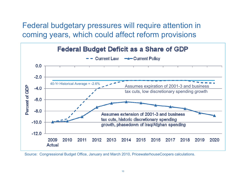Federal budgetary pressures will require attention in coming years, which could affect reform provisions



Source: Congressional Budget Office, January and March 2010, PricewaterhouseCoopers calculations.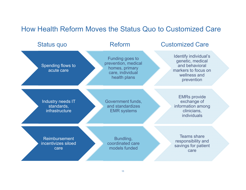## How Health Reform Moves the Status Quo to Customized Care

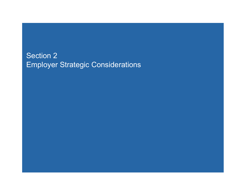## Section 2 Employer Strategic Considerations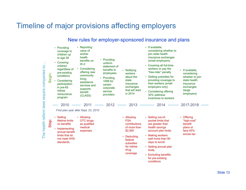## Timeline of major provisions affecting employers

#### New rules for employer-sponsored insurance and plans

| $\mathbf{S}$<br>The health reform laws require companies | Begin:       | • Providing<br>coverage to<br>children up<br>to age 26<br>Covering<br>$\bullet$<br>children<br>regardless of<br>pre-existing<br>conditions<br>Considering<br>participation<br>in pre-65<br>retiree<br>reinsurance<br>program | $\cdot$ Reporting<br>value of<br>worker<br>health<br>benefits on<br>$W-2$<br>Considering<br>offering new<br>community<br>living<br>assistance<br>services and<br>supports<br>benefit<br>(CLASS) | • Providing<br>uniform<br>statement of<br>benefits to<br>employees<br>Providing<br>1099 for<br>certain<br>corporate<br>service<br>providers | • Notifying<br>workers<br>about the<br>state<br>insurance<br>exchanges<br>that will start<br>in 2014                                                | • If available,<br>considering whether to<br>join state health<br>insurance exchanges<br>(small employers)<br>Covering all full-time<br>workers or pay the<br>"free-rider" penalty<br>• Getting subsidies for<br>providing coverage to<br>their workers (small<br>employers only)<br>• Considering offering<br>30% wellness<br>incentives to workers | • If available,<br>considering<br>whether to join<br>state health<br>insurance<br>exchanges<br>(large<br>employers) |
|----------------------------------------------------------|--------------|------------------------------------------------------------------------------------------------------------------------------------------------------------------------------------------------------------------------------|-------------------------------------------------------------------------------------------------------------------------------------------------------------------------------------------------|---------------------------------------------------------------------------------------------------------------------------------------------|-----------------------------------------------------------------------------------------------------------------------------------------------------|------------------------------------------------------------------------------------------------------------------------------------------------------------------------------------------------------------------------------------------------------------------------------------------------------------------------------------------------------|---------------------------------------------------------------------------------------------------------------------|
|                                                          |              | 2010                                                                                                                                                                                                                         | 2011                                                                                                                                                                                            | 2012                                                                                                                                        | 2013                                                                                                                                                | 2014                                                                                                                                                                                                                                                                                                                                                 | 2017-2018                                                                                                           |
|                                                          |              | First plan year after Sept. 23, 2010                                                                                                                                                                                         |                                                                                                                                                                                                 |                                                                                                                                             |                                                                                                                                                     |                                                                                                                                                                                                                                                                                                                                                      |                                                                                                                     |
|                                                          | <b>Stop:</b> | <b>Setting</b><br>lifetime limits<br>on benefits<br>Implementing<br>annual benefit<br>limits that do<br>not meet HHS<br>standards                                                                                            | • Allowing<br>OTC drugs<br>as qualified<br>medical<br>expenses                                                                                                                                  |                                                                                                                                             | • Allowing<br><b>FSA</b><br>contributions<br>of more than<br>\$2,500<br><b>Deducting</b><br>federal<br>subsidies<br>for retiree<br>drug<br>coverage | • Setting out-of-<br>pocket limits that<br>are greater than<br>health savings<br>account plan limits<br><b>Making workers</b><br>wait more than 90<br>days to enroll<br>• Setting annual plan<br><b>limits</b><br><b>Excluding benefits</b><br>for pre-existing<br>conditions                                                                        | • Offering<br>"high-cost"<br>benefit<br>plans or<br>face $40%$<br>excise tax                                        |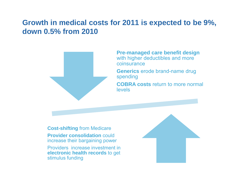## **Growth in medical costs for 2011 is expected to be 9%, down 0.5% from 2010**



**Pre-managed care benefit design**  with higher deductibles and more coinsurance

**Generics** erode brand-name drug spending

**COBRA costs** return to more normal levels

**Cost-shiftin g** from Medicare **Provider consolidation could** increase their bargaining power Providers increase investment in **electronic health records** to get stimulus funding

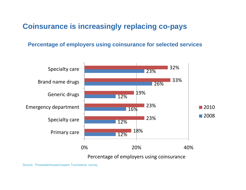## **Coinsurance is increasingly replacing co-pays**

**Percentage of employers using coinsurance for selected services**



Percentage of employers using coinsurance

Source: PricewaterhouseCoopers Touchstone survey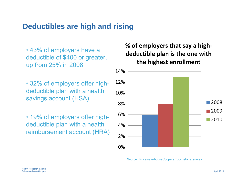## **Deductibles are high and rising**

• 43% of employers have a deductible of \$400 or greater, up from 25% in 2008

- •• 32% of employers offer high- 12% deductible plan with a health savings account (HSA) 8%
- 19% of employers offer highdeductible plan with a health reimbursement account (HRA)

#### **% of employers that say a high ‐ deductible plan is the one with e** of \$400 or greater. **the highest enrollment**



Source: PricewaterhouseCoopers Touchstone survey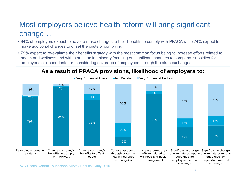## Most employers believe health reform will bring significant change …

- 94% of employers expect to have to make changes to their benefits to comply with PPACA while 74% expect to make additional changes to offset the costs of complying.
- 79% expect to re-evaluate their benefits strategy with the most common focus being to increase efforts related to health and wellness and with <sup>a</sup> substantial minority focusing on significant changes to company subsidies for employees or dependents, or considering coverage of employees through the state exchanges.

#### **As a result of PPACA provisions, likelihood of employers to:**

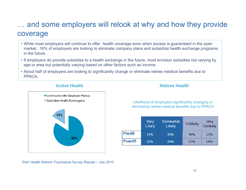## … and some employers will relook at why and how they provide coverage

- While most employers will continue to offer health coverage even when access is guaranteed in the open market, 16% of employers are looking to eliminate company plans and subsidize health exchange programs in the future.
- $\cdot$  If employers do provide subsidies to a health exchange in the future, most envision subsidies not varying by age or area but potentially varying based on other factors such as income.
- About half of employers are looking to significantly change or eliminate retiree medical benefits due to PPACA.



#### **Active Health**

**Retiree Health**

Likelihood of employers significantly changing or eliminating retiree medical benefits due to PPACA

|          | Very<br>Likely | Somewhat<br>Likely | Unlikely | Very<br>Unlikely |  |
|----------|----------------|--------------------|----------|------------------|--|
| $Pre-65$ | 13%            | 35%                | 39%      | 13%              |  |
| Post-65  | 15%            | 34%                | 37%      | 14%              |  |

PwC Health Reform Touchstone Survey Results – July 2010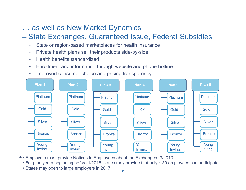## … as well as New Market Dynamics

## – State Exchanges, Guaranteed Issue, Federal Subsidies

- •State or region-based marketplaces for health insurance
- •Private health plans sell their products side-by-side
- •Health benefits standardized
- •Enrollment and information through website and phone hotline
- •Improved consumer choice and pricing transparency



- Employers must provide Notices to Employees about the Exchanges (3/2013) \*
	- For plan years beginning before 1/2016, states may provide that only <sup>≤</sup> 50 employees can participate
	- States may open to large employers in 2017  $\mathbf{P}_{\mathbf{r}}$  . The cooperation of  $\mathbf{P}_{\mathbf{r}}$  and  $\mathbf{P}_{\mathbf{r}}$  and  $\mathbf{P}_{\mathbf{r}}$  are contributions of  $\mathbf{P}_{\mathbf{r}}$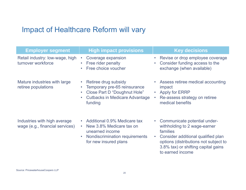## Impact of Healthcare Reform will vary

| <b>Employer segment</b>                                         | <b>High impact provisions</b>                                                                                                                       | <b>Key decisions</b>                                                                                                                                                                                                            |
|-----------------------------------------------------------------|-----------------------------------------------------------------------------------------------------------------------------------------------------|---------------------------------------------------------------------------------------------------------------------------------------------------------------------------------------------------------------------------------|
| Retail industry: low-wage, high<br>turnover workforce           | Coverage expansion<br>$\bullet$<br>Free rider penalty<br>Free choice voucher                                                                        | Revise or drop employee coverage<br>Consider funding access to the<br>exchange (when available)                                                                                                                                 |
| Mature industries with large<br>retiree populations             | Retiree drug subsidy<br>Temporary pre-65 reinsurance<br>Close Part D "Doughnut Hole"<br><b>Cutbacks in Medicare Advantage</b><br>funding            | Assess retiree medical accounting<br>impact<br><b>Apply for ERRP</b><br>Re-assess strategy on retiree<br>medical benefits                                                                                                       |
| Industries with high average<br>wage (e.g., financial services) | Additional 0.9% Medicare tax<br>New 3.8% Medicare tax on<br>$\bullet$<br>unearned income<br>Nondiscrimination requirements<br>for new insured plans | Communicate potential under-<br>withholding to 2 wage-earner<br>families<br>Consider additional qualified plan<br>$\bullet$<br>options (distributions not subject to<br>3.8% tax) or shifting capital gains<br>to earned income |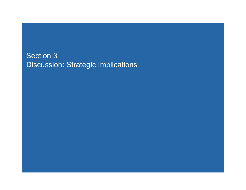## Section 3 Discussion: Strategic Implications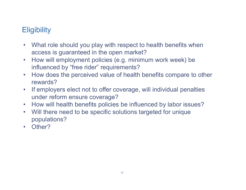# **Eligibility**

- $\bullet$  What role should you play with respect to health benefits when access is guaranteed in the open market?
- $\bullet$ How will employment policies (e.g. minimum work week) be influenced by "free rider" requirements?
- $\bullet$  How does the perceived value of health benefits compare to other rewards?
- • If employers elect not to offer coverage, will individual penalties under reform ensure coverage?
- How will health benefits policies be influenced by labor issues?
- $\bullet$  Will there need to be specific solutions targeted for unique populations?
- Other?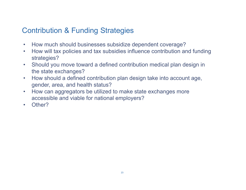# Contribution & Funding Strategies

- How much should businesses subsidize dependent coverage?
- $\bullet$  How will tax policies and tax subsidies influence contribution and funding strategies?
- • Should you move toward a defined contribution medical plan design in the state exchanges?
- • How should a defined contribution plan design take into account age, gender, area, and health status?
- $\bullet$  How can aggregators be utilized to make state exchanges more accessible and viable for national employers?
- Other?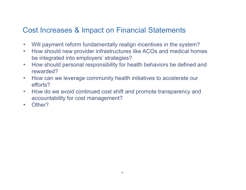## Cost Increases & Impact on Financial Statements

- •Will payment reform fundamentally realign incentives in the system?
- $\bullet$  How should new provider infrastructures like ACOs and medical homes be integrated into employers' strategies?
- $\bullet$  How should personal responsibility for health behaviors be defined and rewarded?
- • How can we leverage community health initiatives to accelerate our efforts?
- $\bullet$  How do we avoid continued cost shift and promote transparency and accountability for cost management?
- $\bullet$ Other?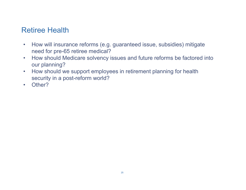## Retiree Health

- $\bullet$  How will insurance reforms (e.g. guaranteed issue, subsidies) mitigate need for pre-65 retiree medical?
- $\bullet$ How should Medicare solvency issues and future reforms be factored into our planning?
- $\bullet$  How should we support employees in retirement planning for health security in a post-reform world?
- Other?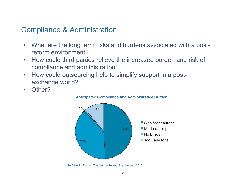## Compliance & Administration

- $\bullet$  What are the long term risks and burdens associated with a postreform environment?
- $\bullet$ How could third parties relieve the increased burden and risk of compliance and administration?
- $\bullet$  How could outsourcing help to simplify support in a postexchange world?
- $\bullet$ Other?





PwC Health Reform Touchstone Survey Supplement - 2010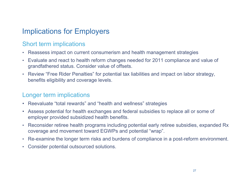# Implications for Employers

### Short term implications

- Reassess impact on current consumerism and health management strategies
- Evaluate and react to health reform changes needed for 2011 compliance and value of<br>grandfathered status. Consider value of offsets.
- Review "Free Rider Penalties" for potential tax liabilities and impact on labor strategy, benefits eligibility and coverage levels.

### Longer term implications

- Reevaluate "total rewards" and "health and wellness" strategies
- Assess potential for health exchanges and federal subsidies to replace all or some of employer provided subsidized health benefits.
- Reconsider retiree health programs including potential early retiree subsidies, expanded Rx coverage and movement toward EGWPs and potential "wrap".
- Re-examine the longer term risks and burdens of compliance in a post-reform environment.
- Consider potential outsourced solutions.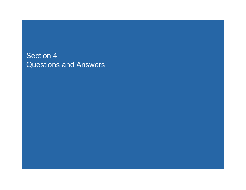## Section 4 Questions and Answers